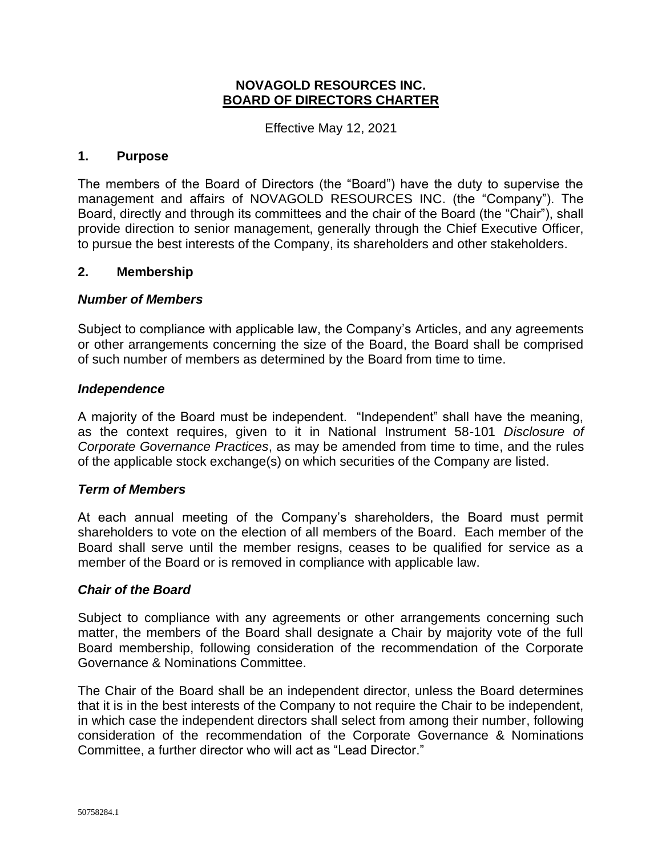#### **NOVAGOLD RESOURCES INC. BOARD OF DIRECTORS CHARTER**

Effective May 12, 2021

#### **1. Purpose**

The members of the Board of Directors (the "Board") have the duty to supervise the management and affairs of NOVAGOLD RESOURCES INC. (the "Company"). The Board, directly and through its committees and the chair of the Board (the "Chair"), shall provide direction to senior management, generally through the Chief Executive Officer, to pursue the best interests of the Company, its shareholders and other stakeholders.

#### **2. Membership**

#### *Number of Members*

Subject to compliance with applicable law, the Company's Articles, and any agreements or other arrangements concerning the size of the Board, the Board shall be comprised of such number of members as determined by the Board from time to time.

#### *Independence*

A majority of the Board must be independent. "Independent" shall have the meaning, as the context requires, given to it in National Instrument 58-101 *Disclosure of Corporate Governance Practices*, as may be amended from time to time, and the rules of the applicable stock exchange(s) on which securities of the Company are listed.

#### *Term of Members*

At each annual meeting of the Company's shareholders, the Board must permit shareholders to vote on the election of all members of the Board. Each member of the Board shall serve until the member resigns, ceases to be qualified for service as a member of the Board or is removed in compliance with applicable law.

#### *Chair of the Board*

Subject to compliance with any agreements or other arrangements concerning such matter, the members of the Board shall designate a Chair by majority vote of the full Board membership, following consideration of the recommendation of the Corporate Governance & Nominations Committee.

The Chair of the Board shall be an independent director, unless the Board determines that it is in the best interests of the Company to not require the Chair to be independent, in which case the independent directors shall select from among their number, following consideration of the recommendation of the Corporate Governance & Nominations Committee, a further director who will act as "Lead Director."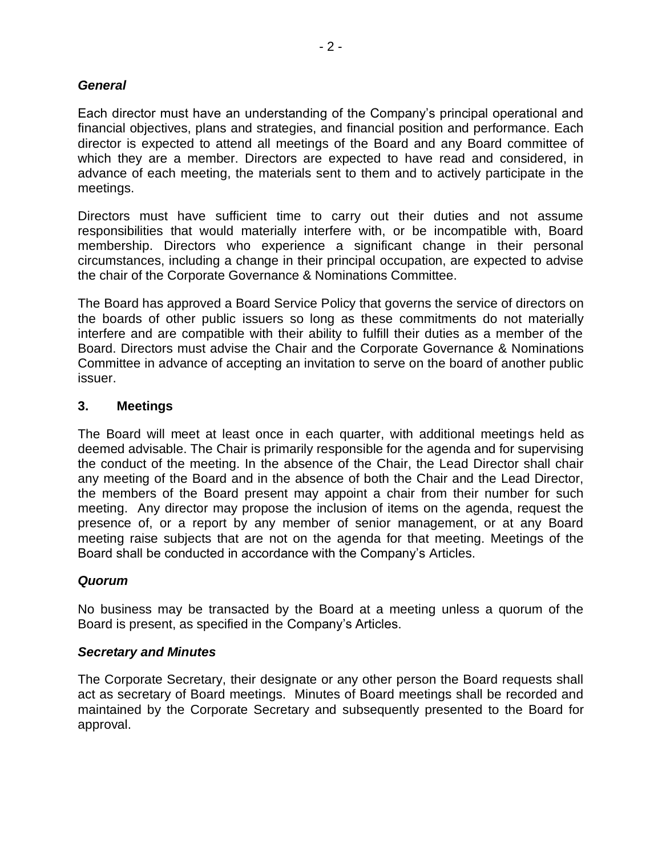#### *General*

Each director must have an understanding of the Company's principal operational and financial objectives, plans and strategies, and financial position and performance. Each director is expected to attend all meetings of the Board and any Board committee of which they are a member. Directors are expected to have read and considered, in advance of each meeting, the materials sent to them and to actively participate in the meetings.

Directors must have sufficient time to carry out their duties and not assume responsibilities that would materially interfere with, or be incompatible with, Board membership. Directors who experience a significant change in their personal circumstances, including a change in their principal occupation, are expected to advise the chair of the Corporate Governance & Nominations Committee.

The Board has approved a Board Service Policy that governs the service of directors on the boards of other public issuers so long as these commitments do not materially interfere and are compatible with their ability to fulfill their duties as a member of the Board. Directors must advise the Chair and the Corporate Governance & Nominations Committee in advance of accepting an invitation to serve on the board of another public issuer.

#### **3. Meetings**

The Board will meet at least once in each quarter, with additional meetings held as deemed advisable. The Chair is primarily responsible for the agenda and for supervising the conduct of the meeting. In the absence of the Chair, the Lead Director shall chair any meeting of the Board and in the absence of both the Chair and the Lead Director, the members of the Board present may appoint a chair from their number for such meeting. Any director may propose the inclusion of items on the agenda, request the presence of, or a report by any member of senior management, or at any Board meeting raise subjects that are not on the agenda for that meeting. Meetings of the Board shall be conducted in accordance with the Company's Articles.

#### *Quorum*

No business may be transacted by the Board at a meeting unless a quorum of the Board is present, as specified in the Company's Articles.

#### *Secretary and Minutes*

The Corporate Secretary, their designate or any other person the Board requests shall act as secretary of Board meetings. Minutes of Board meetings shall be recorded and maintained by the Corporate Secretary and subsequently presented to the Board for approval.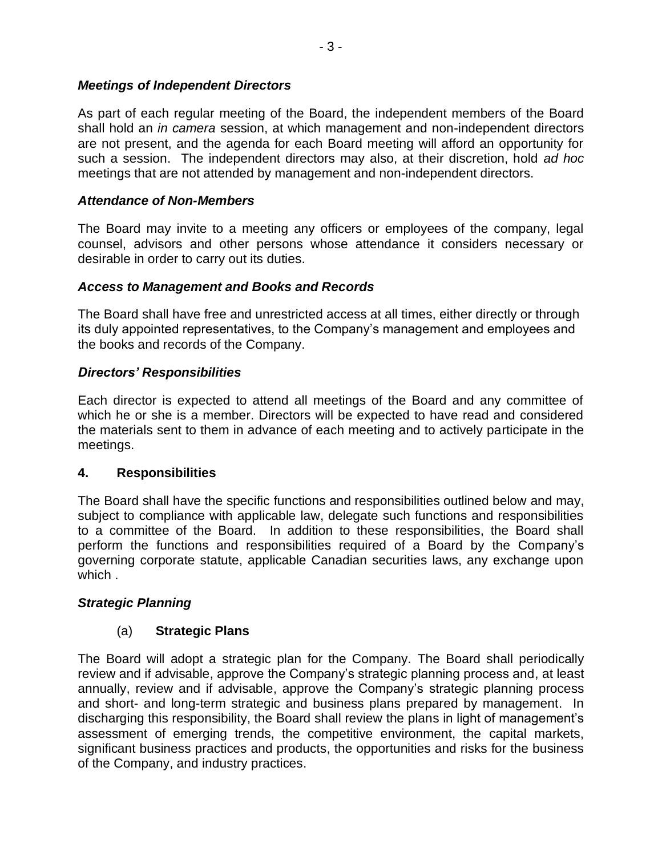#### *Meetings of Independent Directors*

As part of each regular meeting of the Board, the independent members of the Board shall hold an *in camera* session, at which management and non-independent directors are not present, and the agenda for each Board meeting will afford an opportunity for such a session. The independent directors may also, at their discretion, hold *ad hoc* meetings that are not attended by management and non-independent directors.

#### *Attendance of Non-Members*

The Board may invite to a meeting any officers or employees of the company, legal counsel, advisors and other persons whose attendance it considers necessary or desirable in order to carry out its duties.

#### *Access to Management and Books and Records*

The Board shall have free and unrestricted access at all times, either directly or through its duly appointed representatives, to the Company's management and employees and the books and records of the Company.

### *Directors' Responsibilities*

Each director is expected to attend all meetings of the Board and any committee of which he or she is a member. Directors will be expected to have read and considered the materials sent to them in advance of each meeting and to actively participate in the meetings.

### **4. Responsibilities**

The Board shall have the specific functions and responsibilities outlined below and may, subject to compliance with applicable law, delegate such functions and responsibilities to a committee of the Board. In addition to these responsibilities, the Board shall perform the functions and responsibilities required of a Board by the Company's governing corporate statute, applicable Canadian securities laws, any exchange upon which .

### *Strategic Planning*

### (a) **Strategic Plans**

The Board will adopt a strategic plan for the Company. The Board shall periodically review and if advisable, approve the Company's strategic planning process and, at least annually, review and if advisable, approve the Company's strategic planning process and short- and long-term strategic and business plans prepared by management. In discharging this responsibility, the Board shall review the plans in light of management's assessment of emerging trends, the competitive environment, the capital markets, significant business practices and products, the opportunities and risks for the business of the Company, and industry practices.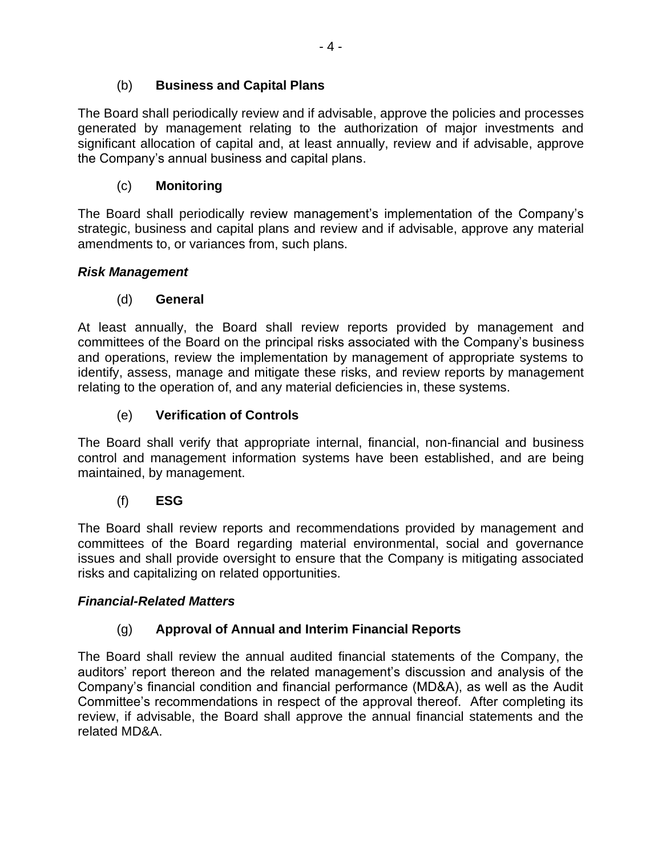## (b) **Business and Capital Plans**

The Board shall periodically review and if advisable, approve the policies and processes generated by management relating to the authorization of major investments and significant allocation of capital and, at least annually, review and if advisable, approve the Company's annual business and capital plans.

## (c) **Monitoring**

The Board shall periodically review management's implementation of the Company's strategic, business and capital plans and review and if advisable, approve any material amendments to, or variances from, such plans.

## *Risk Management*

## (d) **General**

At least annually, the Board shall review reports provided by management and committees of the Board on the principal risks associated with the Company's business and operations, review the implementation by management of appropriate systems to identify, assess, manage and mitigate these risks, and review reports by management relating to the operation of, and any material deficiencies in, these systems.

## (e) **Verification of Controls**

The Board shall verify that appropriate internal, financial, non-financial and business control and management information systems have been established, and are being maintained, by management.

### (f) **ESG**

The Board shall review reports and recommendations provided by management and committees of the Board regarding material environmental, social and governance issues and shall provide oversight to ensure that the Company is mitigating associated risks and capitalizing on related opportunities.

### *Financial-Related Matters*

### (g) **Approval of Annual and Interim Financial Reports**

The Board shall review the annual audited financial statements of the Company, the auditors' report thereon and the related management's discussion and analysis of the Company's financial condition and financial performance (MD&A), as well as the Audit Committee's recommendations in respect of the approval thereof. After completing its review, if advisable, the Board shall approve the annual financial statements and the related MD&A.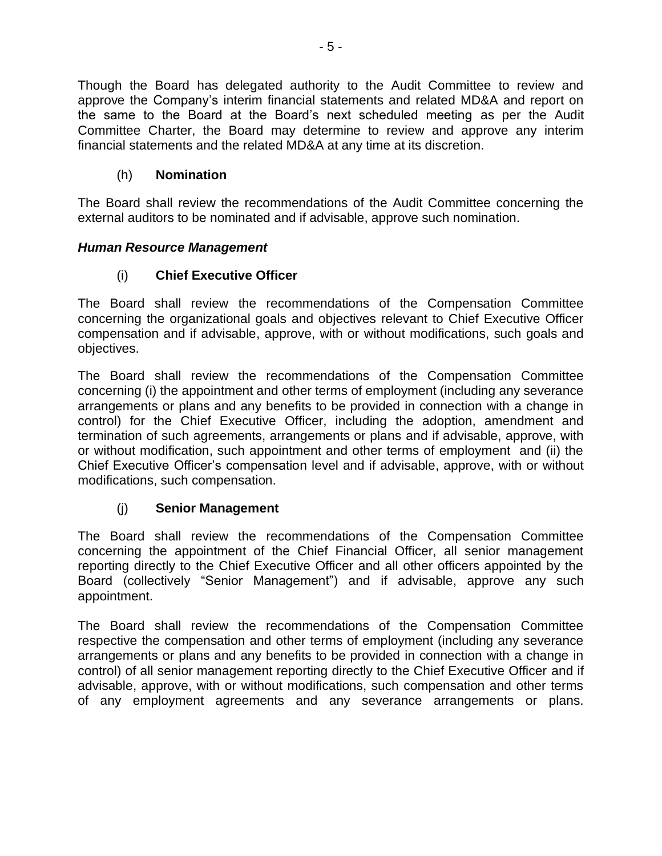Though the Board has delegated authority to the Audit Committee to review and approve the Company's interim financial statements and related MD&A and report on the same to the Board at the Board's next scheduled meeting as per the Audit Committee Charter, the Board may determine to review and approve any interim financial statements and the related MD&A at any time at its discretion.

## (h) **Nomination**

The Board shall review the recommendations of the Audit Committee concerning the external auditors to be nominated and if advisable, approve such nomination.

## *Human Resource Management*

## (i) **Chief Executive Officer**

The Board shall review the recommendations of the Compensation Committee concerning the organizational goals and objectives relevant to Chief Executive Officer compensation and if advisable, approve, with or without modifications, such goals and objectives.

The Board shall review the recommendations of the Compensation Committee concerning (i) the appointment and other terms of employment (including any severance arrangements or plans and any benefits to be provided in connection with a change in control) for the Chief Executive Officer, including the adoption, amendment and termination of such agreements, arrangements or plans and if advisable, approve, with or without modification, such appointment and other terms of employment and (ii) the Chief Executive Officer's compensation level and if advisable, approve, with or without modifications, such compensation.

## (j) **Senior Management**

The Board shall review the recommendations of the Compensation Committee concerning the appointment of the Chief Financial Officer, all senior management reporting directly to the Chief Executive Officer and all other officers appointed by the Board (collectively "Senior Management") and if advisable, approve any such appointment.

The Board shall review the recommendations of the Compensation Committee respective the compensation and other terms of employment (including any severance arrangements or plans and any benefits to be provided in connection with a change in control) of all senior management reporting directly to the Chief Executive Officer and if advisable, approve, with or without modifications, such compensation and other terms of any employment agreements and any severance arrangements or plans.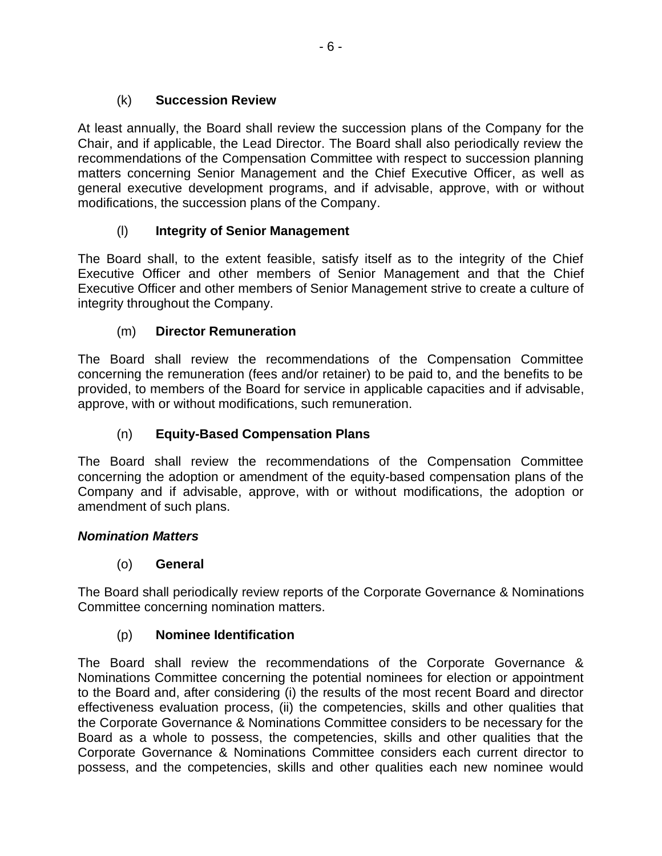## (k) **Succession Review**

At least annually, the Board shall review the succession plans of the Company for the Chair, and if applicable, the Lead Director. The Board shall also periodically review the recommendations of the Compensation Committee with respect to succession planning matters concerning Senior Management and the Chief Executive Officer, as well as general executive development programs, and if advisable, approve, with or without modifications, the succession plans of the Company.

## (l) **Integrity of Senior Management**

The Board shall, to the extent feasible, satisfy itself as to the integrity of the Chief Executive Officer and other members of Senior Management and that the Chief Executive Officer and other members of Senior Management strive to create a culture of integrity throughout the Company.

## (m) **Director Remuneration**

The Board shall review the recommendations of the Compensation Committee concerning the remuneration (fees and/or retainer) to be paid to, and the benefits to be provided, to members of the Board for service in applicable capacities and if advisable, approve, with or without modifications, such remuneration.

## (n) **Equity-Based Compensation Plans**

The Board shall review the recommendations of the Compensation Committee concerning the adoption or amendment of the equity-based compensation plans of the Company and if advisable, approve, with or without modifications, the adoption or amendment of such plans.

### *Nomination Matters*

### (o) **General**

The Board shall periodically review reports of the Corporate Governance & Nominations Committee concerning nomination matters.

### (p) **Nominee Identification**

The Board shall review the recommendations of the Corporate Governance & Nominations Committee concerning the potential nominees for election or appointment to the Board and, after considering (i) the results of the most recent Board and director effectiveness evaluation process, (ii) the competencies, skills and other qualities that the Corporate Governance & Nominations Committee considers to be necessary for the Board as a whole to possess, the competencies, skills and other qualities that the Corporate Governance & Nominations Committee considers each current director to possess, and the competencies, skills and other qualities each new nominee would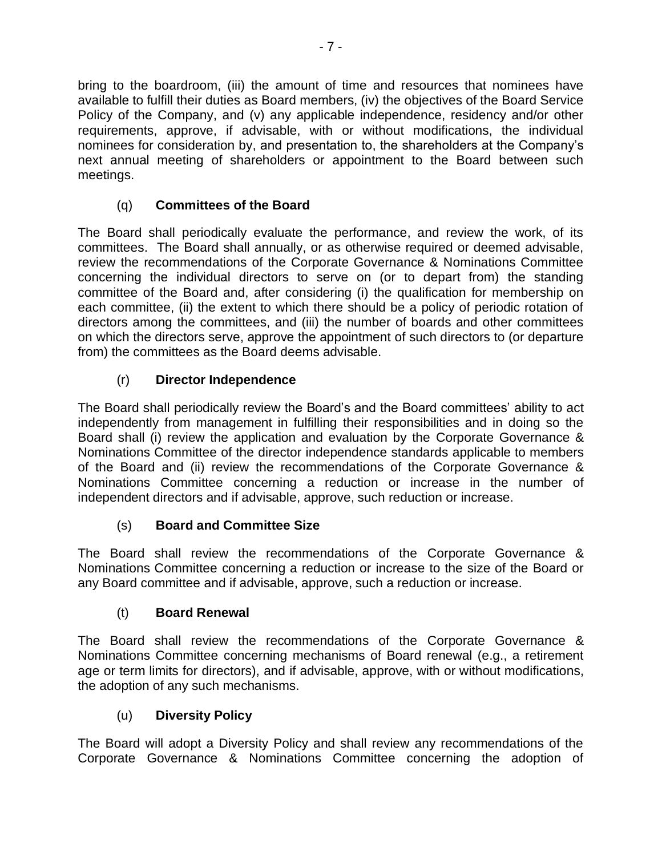bring to the boardroom, (iii) the amount of time and resources that nominees have available to fulfill their duties as Board members, (iv) the objectives of the Board Service Policy of the Company, and (v) any applicable independence, residency and/or other requirements, approve, if advisable, with or without modifications, the individual nominees for consideration by, and presentation to, the shareholders at the Company's next annual meeting of shareholders or appointment to the Board between such meetings.

# (q) **Committees of the Board**

The Board shall periodically evaluate the performance, and review the work, of its committees. The Board shall annually, or as otherwise required or deemed advisable, review the recommendations of the Corporate Governance & Nominations Committee concerning the individual directors to serve on (or to depart from) the standing committee of the Board and, after considering (i) the qualification for membership on each committee, (ii) the extent to which there should be a policy of periodic rotation of directors among the committees, and (iii) the number of boards and other committees on which the directors serve, approve the appointment of such directors to (or departure from) the committees as the Board deems advisable.

## (r) **Director Independence**

The Board shall periodically review the Board's and the Board committees' ability to act independently from management in fulfilling their responsibilities and in doing so the Board shall (i) review the application and evaluation by the Corporate Governance & Nominations Committee of the director independence standards applicable to members of the Board and (ii) review the recommendations of the Corporate Governance & Nominations Committee concerning a reduction or increase in the number of independent directors and if advisable, approve, such reduction or increase.

## (s) **Board and Committee Size**

The Board shall review the recommendations of the Corporate Governance & Nominations Committee concerning a reduction or increase to the size of the Board or any Board committee and if advisable, approve, such a reduction or increase.

## (t) **Board Renewal**

The Board shall review the recommendations of the Corporate Governance & Nominations Committee concerning mechanisms of Board renewal (e.g., a retirement age or term limits for directors), and if advisable, approve, with or without modifications, the adoption of any such mechanisms.

## (u) **Diversity Policy**

The Board will adopt a Diversity Policy and shall review any recommendations of the Corporate Governance & Nominations Committee concerning the adoption of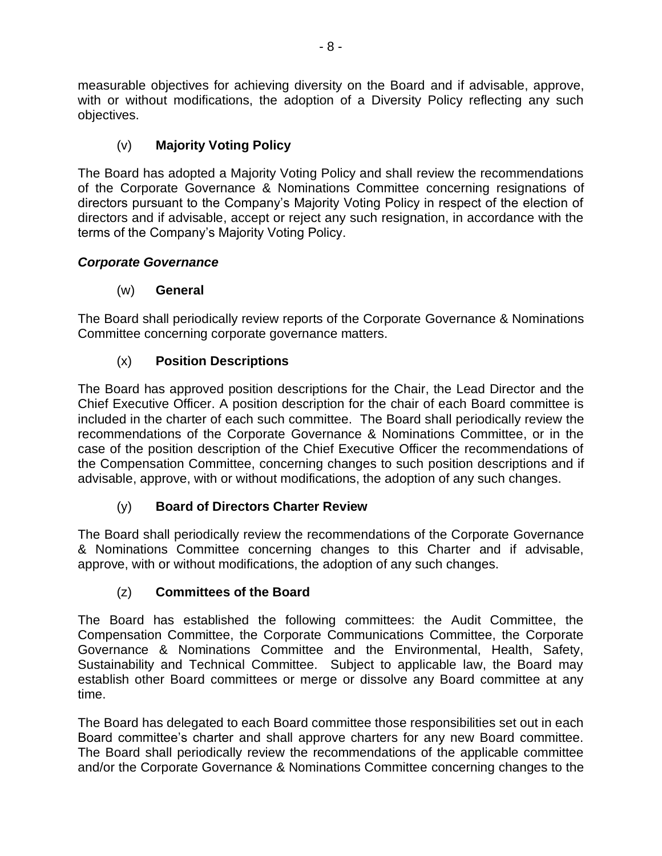measurable objectives for achieving diversity on the Board and if advisable, approve, with or without modifications, the adoption of a Diversity Policy reflecting any such objectives.

# (v) **Majority Voting Policy**

The Board has adopted a Majority Voting Policy and shall review the recommendations of the Corporate Governance & Nominations Committee concerning resignations of directors pursuant to the Company's Majority Voting Policy in respect of the election of directors and if advisable, accept or reject any such resignation, in accordance with the terms of the Company's Majority Voting Policy.

# *Corporate Governance*

# (w) **General**

The Board shall periodically review reports of the Corporate Governance & Nominations Committee concerning corporate governance matters.

# (x) **Position Descriptions**

The Board has approved position descriptions for the Chair, the Lead Director and the Chief Executive Officer. A position description for the chair of each Board committee is included in the charter of each such committee. The Board shall periodically review the recommendations of the Corporate Governance & Nominations Committee, or in the case of the position description of the Chief Executive Officer the recommendations of the Compensation Committee, concerning changes to such position descriptions and if advisable, approve, with or without modifications, the adoption of any such changes.

# (y) **Board of Directors Charter Review**

The Board shall periodically review the recommendations of the Corporate Governance & Nominations Committee concerning changes to this Charter and if advisable, approve, with or without modifications, the adoption of any such changes.

## (z) **Committees of the Board**

The Board has established the following committees: the Audit Committee, the Compensation Committee, the Corporate Communications Committee, the Corporate Governance & Nominations Committee and the Environmental, Health, Safety, Sustainability and Technical Committee. Subject to applicable law, the Board may establish other Board committees or merge or dissolve any Board committee at any time.

The Board has delegated to each Board committee those responsibilities set out in each Board committee's charter and shall approve charters for any new Board committee. The Board shall periodically review the recommendations of the applicable committee and/or the Corporate Governance & Nominations Committee concerning changes to the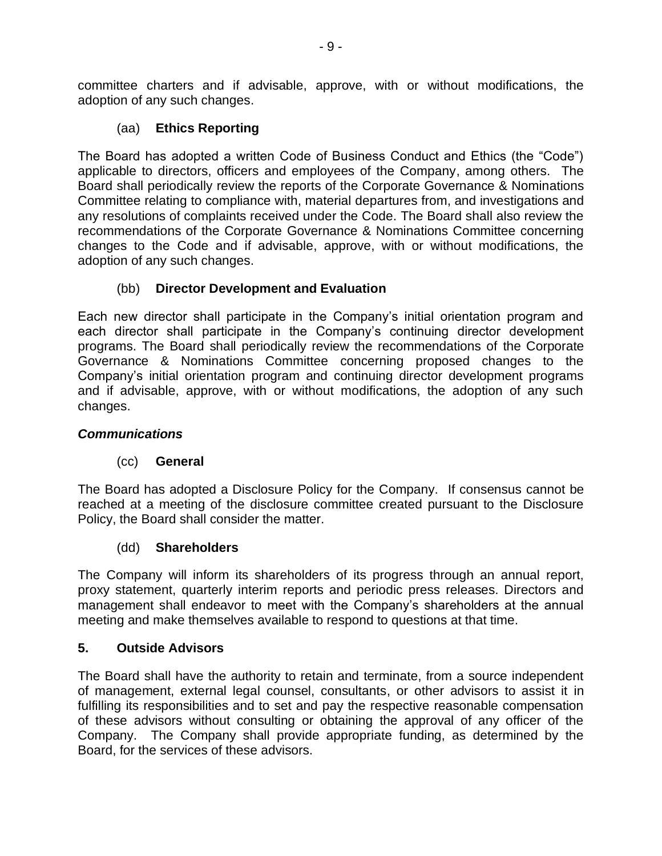committee charters and if advisable, approve, with or without modifications, the adoption of any such changes.

## (aa) **Ethics Reporting**

The Board has adopted a written Code of Business Conduct and Ethics (the "Code") applicable to directors, officers and employees of the Company, among others. The Board shall periodically review the reports of the Corporate Governance & Nominations Committee relating to compliance with, material departures from, and investigations and any resolutions of complaints received under the Code. The Board shall also review the recommendations of the Corporate Governance & Nominations Committee concerning changes to the Code and if advisable, approve, with or without modifications, the adoption of any such changes.

## (bb) **Director Development and Evaluation**

Each new director shall participate in the Company's initial orientation program and each director shall participate in the Company's continuing director development programs. The Board shall periodically review the recommendations of the Corporate Governance & Nominations Committee concerning proposed changes to the Company's initial orientation program and continuing director development programs and if advisable, approve, with or without modifications, the adoption of any such changes.

### *Communications*

### (cc) **General**

The Board has adopted a Disclosure Policy for the Company. If consensus cannot be reached at a meeting of the disclosure committee created pursuant to the Disclosure Policy, the Board shall consider the matter.

### (dd) **Shareholders**

The Company will inform its shareholders of its progress through an annual report, proxy statement, quarterly interim reports and periodic press releases. Directors and management shall endeavor to meet with the Company's shareholders at the annual meeting and make themselves available to respond to questions at that time.

## **5. Outside Advisors**

The Board shall have the authority to retain and terminate, from a source independent of management, external legal counsel, consultants, or other advisors to assist it in fulfilling its responsibilities and to set and pay the respective reasonable compensation of these advisors without consulting or obtaining the approval of any officer of the Company. The Company shall provide appropriate funding, as determined by the Board, for the services of these advisors.